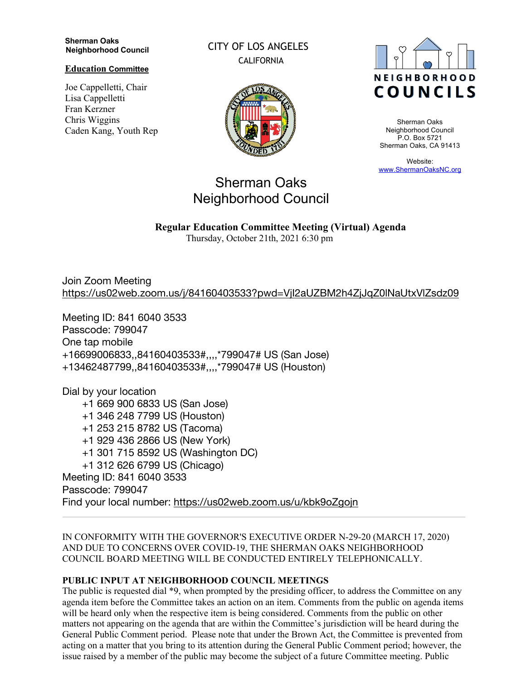#### **Sherman Oaks Neighborhood Council**

**Education Committee**

Joe Cappelletti, Chair Lisa Cappelletti Fran Kerzner Chris Wiggins Caden Kang, Youth Rep CITY OF LOS ANGELES CALIFORNIA





Sherman Oaks Neighborhood Council P.O. Box 5721 Sherman Oaks, CA 91413

Website: www.ShermanOaksNC.org

# Sherman Oaks Neighborhood Council

**Regular Education Committee Meeting (Virtual) Agenda** 

Thursday, October 21th, 2021 6:30 pm

Join Zoom Meeting https://us02web.zoom.us/j/84160403533?pwd=VjI2aUZBM2h4ZjJqZ0lNaUtxVlZsdz09

Meeting ID: 841 6040 3533 Passcode: 799047 One tap mobile +16699006833,,84160403533#,,,,\*799047# US (San Jose) +13462487799,,84160403533#,,,,\*799047# US (Houston)

Dial by your location +1 669 900 6833 US (San Jose) +1 346 248 7799 US (Houston) +1 253 215 8782 US (Tacoma) +1 929 436 2866 US (New York) +1 301 715 8592 US (Washington DC) +1 312 626 6799 US (Chicago) Meeting ID: 841 6040 3533 Passcode: 799047 Find your local number: https://us02web.zoom.us/u/kbk9oZgojn

IN CONFORMITY WITH THE GOVERNOR'S EXECUTIVE ORDER N-29-20 (MARCH 17, 2020) AND DUE TO CONCERNS OVER COVID-19, THE SHERMAN OAKS NEIGHBORHOOD COUNCIL BOARD MEETING WILL BE CONDUCTED ENTIRELY TELEPHONICALLY.

## **PUBLIC INPUT AT NEIGHBORHOOD COUNCIL MEETINGS**

The public is requested dial \*9, when prompted by the presiding officer, to address the Committee on any agenda item before the Committee takes an action on an item. Comments from the public on agenda items will be heard only when the respective item is being considered. Comments from the public on other matters not appearing on the agenda that are within the Committee's jurisdiction will be heard during the General Public Comment period. Please note that under the Brown Act, the Committee is prevented from acting on a matter that you bring to its attention during the General Public Comment period; however, the issue raised by a member of the public may become the subject of a future Committee meeting. Public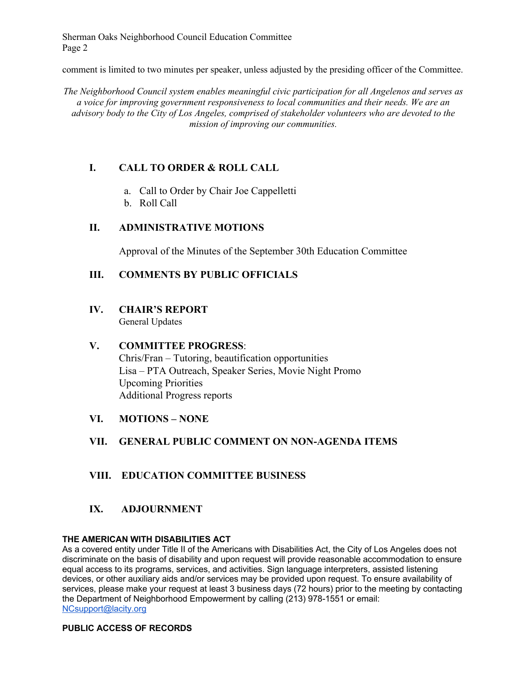Sherman Oaks Neighborhood Council Education Committee Page 2

comment is limited to two minutes per speaker, unless adjusted by the presiding officer of the Committee.

*The Neighborhood Council system enables meaningful civic participation for all Angelenos and serves as a voice for improving government responsiveness to local communities and their needs. We are an advisory body to the City of Los Angeles, comprised of stakeholder volunteers who are devoted to the mission of improving our communities.*

# **I. CALL TO ORDER & ROLL CALL**

- a. Call to Order by Chair Joe Cappelletti
- b. Roll Call

## **II. ADMINISTRATIVE MOTIONS**

Approval of the Minutes of the September 30th Education Committee

## **III. COMMENTS BY PUBLIC OFFICIALS**

# **IV. CHAIR'S REPORT**

General Updates

## **V. COMMITTEE PROGRESS**:

Chris/Fran – Tutoring, beautification opportunities Lisa – PTA Outreach, Speaker Series, Movie Night Promo Upcoming Priorities Additional Progress reports

**VI. MOTIONS – NONE**

# **VII. GENERAL PUBLIC COMMENT ON NON-AGENDA ITEMS**

## **VIII. EDUCATION COMMITTEE BUSINESS**

## **IX. ADJOURNMENT**

### **THE AMERICAN WITH DISABILITIES ACT**

As a covered entity under Title II of the Americans with Disabilities Act, the City of Los Angeles does not discriminate on the basis of disability and upon request will provide reasonable accommodation to ensure equal access to its programs, services, and activities. Sign language interpreters, assisted listening devices, or other auxiliary aids and/or services may be provided upon request. To ensure availability of services, please make your request at least 3 business days (72 hours) prior to the meeting by contacting the Department of Neighborhood Empowerment by calling (213) 978-1551 or email: NCsupport@lacity.org

## **PUBLIC ACCESS OF RECORDS**